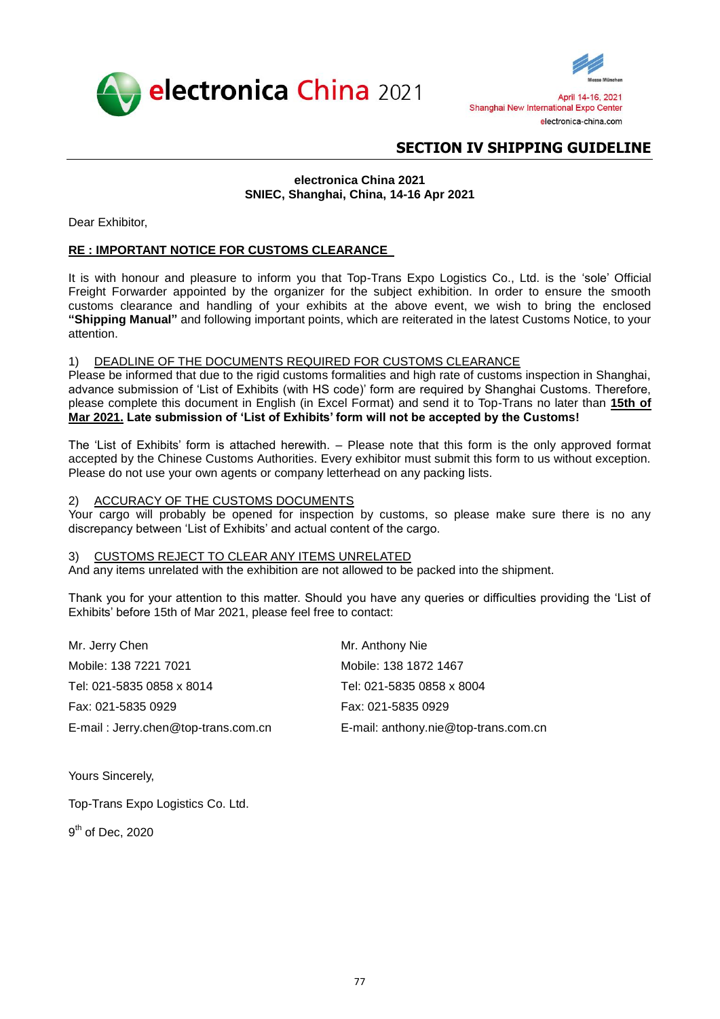



# **electronica China 2021 SNIEC, Shanghai, China, 14-16 Apr 2021**

Dear Exhibitor,

# **RE : IMPORTANT NOTICE FOR CUSTOMS CLEARANCE**

It is with honour and pleasure to inform you that Top-Trans Expo Logistics Co., Ltd. is the 'sole' Official Freight Forwarder appointed by the organizer for the subject exhibition. In order to ensure the smooth customs clearance and handling of your exhibits at the above event, we wish to bring the enclosed **"Shipping Manual"** and following important points, which are reiterated in the latest Customs Notice, to your attention.

## 1) DEADLINE OF THE DOCUMENTS REQUIRED FOR CUSTOMS CLEARANCE

Please be informed that due to the rigid customs formalities and high rate of customs inspection in Shanghai, advance submission of 'List of Exhibits (with HS code)' form are required by Shanghai Customs. Therefore, please complete this document in English (in Excel Format) and send it to Top-Trans no later than **15th of Mar 2021. Late submission of 'List of Exhibits' form will not be accepted by the Customs!**

The 'List of Exhibits' form is attached herewith. – Please note that this form is the only approved format accepted by the Chinese Customs Authorities. Every exhibitor must submit this form to us without exception. Please do not use your own agents or company letterhead on any packing lists.

### 2) ACCURACY OF THE CUSTOMS DOCUMENTS

Your cargo will probably be opened for inspection by customs, so please make sure there is no any discrepancy between 'List of Exhibits' and actual content of the cargo.

### 3) CUSTOMS REJECT TO CLEAR ANY ITEMS UNRELATED

And any items unrelated with the exhibition are not allowed to be packed into the shipment.

Thank you for your attention to this matter. Should you have any queries or difficulties providing the 'List of Exhibits' before 15th of Mar 2021, please feel free to contact:

| Mr. Jerry Chen                      | Mr. Anthony Nie                      |
|-------------------------------------|--------------------------------------|
| Mobile: 138 7221 7021               | Mobile: 138 1872 1467                |
| Tel: 021-5835 0858 x 8014           | Tel: 021-5835 0858 x 8004            |
| Fax: 021-5835 0929                  | Fax: 021-5835 0929                   |
| E-mail: Jerry.chen@top-trans.com.cn | E-mail: anthony.nie@top-trans.com.cn |

Yours Sincerely,

Top-Trans Expo Logistics Co. Ltd.

9<sup>th</sup> of Dec, 2020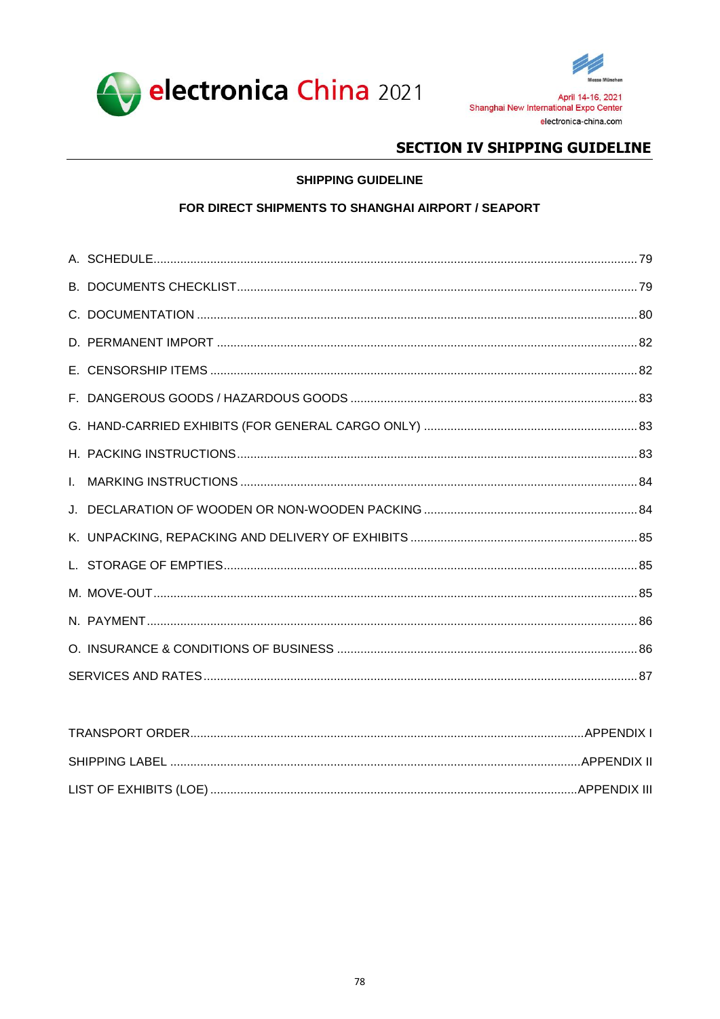



# **SHIPPING GUIDELINE**

# FOR DIRECT SHIPMENTS TO SHANGHAI AIRPORT / SEAPORT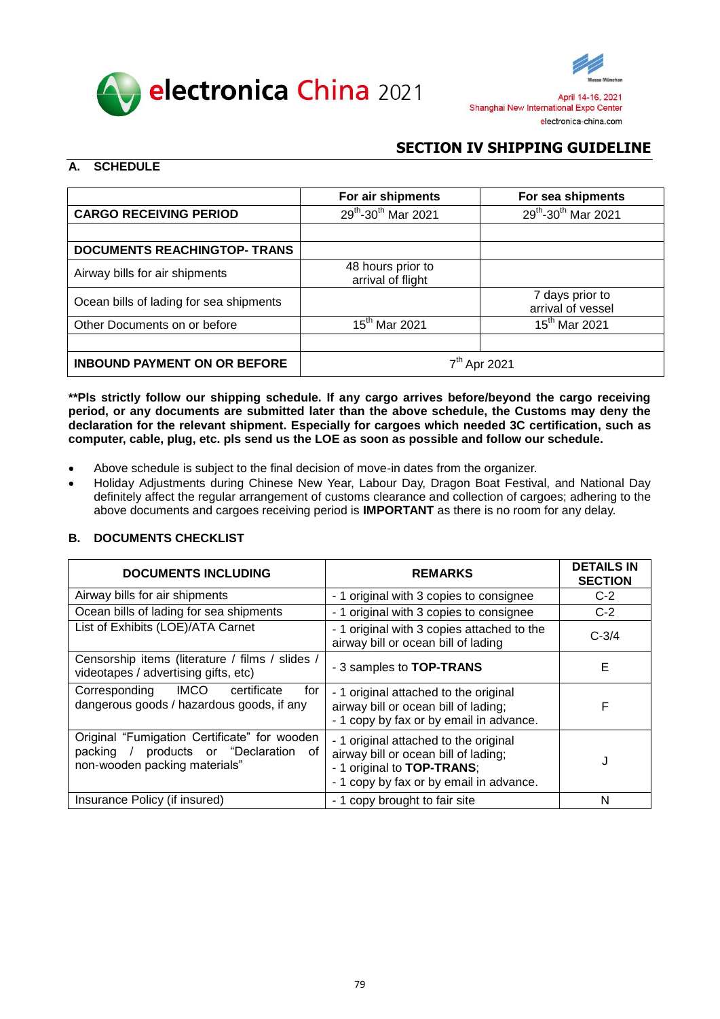



# <span id="page-2-0"></span>**A. SCHEDULE**

|                                         | For air shipments                      | For sea shipments                    |
|-----------------------------------------|----------------------------------------|--------------------------------------|
| <b>CARGO RECEIVING PERIOD</b>           | 29th-30th Mar 2021                     | $29^{th}$ -30 <sup>th</sup> Mar 2021 |
|                                         |                                        |                                      |
| <b>DOCUMENTS REACHINGTOP- TRANS</b>     |                                        |                                      |
| Airway bills for air shipments          | 48 hours prior to<br>arrival of flight |                                      |
| Ocean bills of lading for sea shipments |                                        | 7 days prior to<br>arrival of vessel |
| Other Documents on or before            | 15 <sup>th</sup> Mar 2021              | 15 <sup>th</sup> Mar 2021            |
|                                         |                                        |                                      |
| <b>INBOUND PAYMENT ON OR BEFORE</b>     | 7 <sup>th</sup> Apr 2021               |                                      |

**\*\*Pls strictly follow our shipping schedule. If any cargo arrives before/beyond the cargo receiving period, or any documents are submitted later than the above schedule, the Customs may deny the declaration for the relevant shipment. Especially for cargoes which needed 3C certification, such as computer, cable, plug, etc. pls send us the LOE as soon as possible and follow our schedule.**

- Above schedule is subject to the final decision of move-in dates from the organizer.
- Holiday Adjustments during Chinese New Year, Labour Day, Dragon Boat Festival, and National Day definitely affect the regular arrangement of customs clearance and collection of cargoes; adhering to the above documents and cargoes receiving period is **IMPORTANT** as there is no room for any delay.

# <span id="page-2-1"></span>**B. DOCUMENTS CHECKLIST**

| <b>DOCUMENTS INCLUDING</b>                                                                                             | <b>REMARKS</b>                                                                                                                                         | <b>DETAILS IN</b><br><b>SECTION</b> |
|------------------------------------------------------------------------------------------------------------------------|--------------------------------------------------------------------------------------------------------------------------------------------------------|-------------------------------------|
| Airway bills for air shipments                                                                                         | - 1 original with 3 copies to consignee                                                                                                                | $C-2$                               |
| Ocean bills of lading for sea shipments                                                                                | - 1 original with 3 copies to consignee                                                                                                                | $C-2$                               |
| List of Exhibits (LOE)/ATA Carnet                                                                                      | - 1 original with 3 copies attached to the<br>airway bill or ocean bill of lading                                                                      | $C - 3/4$                           |
| Censorship items (literature / films / slides /<br>videotapes / advertising gifts, etc)                                | - 3 samples to TOP-TRANS                                                                                                                               | Е                                   |
| Corresponding IMCO<br>certificate<br>for<br>dangerous goods / hazardous goods, if any                                  | - 1 original attached to the original<br>airway bill or ocean bill of lading;<br>- 1 copy by fax or by email in advance.                               | F                                   |
| Original "Fumigation Certificate" for wooden<br>packing / products or "Declaration of<br>non-wooden packing materials" | - 1 original attached to the original<br>airway bill or ocean bill of lading;<br>- 1 original to TOP-TRANS;<br>- 1 copy by fax or by email in advance. | J                                   |
| Insurance Policy (if insured)                                                                                          | - 1 copy brought to fair site                                                                                                                          | N                                   |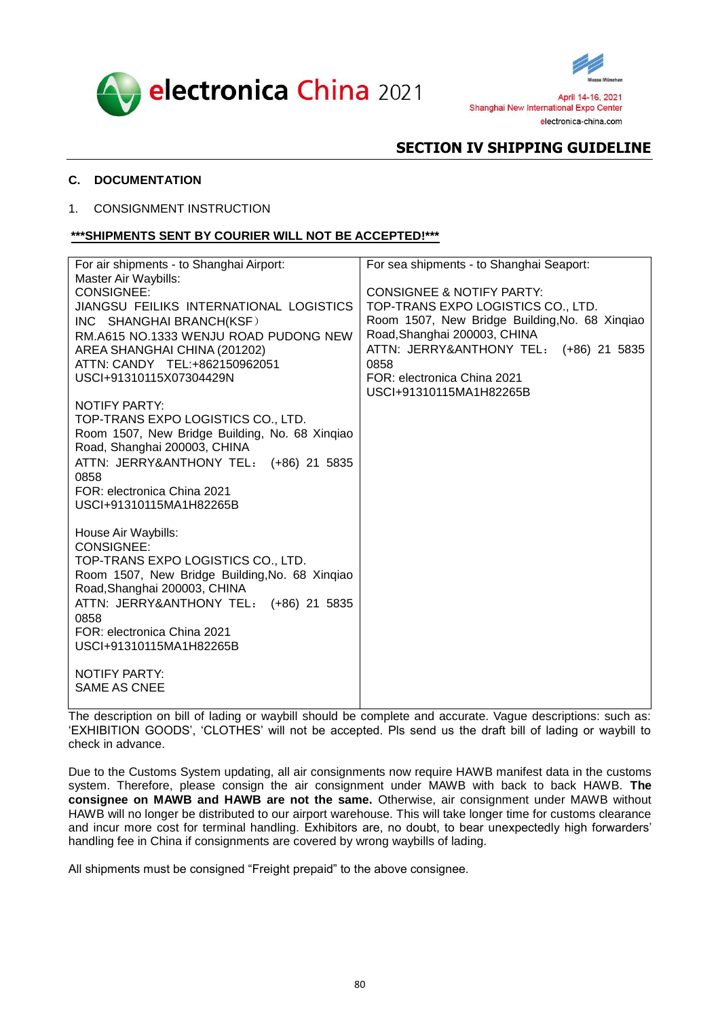



## <span id="page-3-0"></span>**C. DOCUMENTATION**

### 1. CONSIGNMENT INSTRUCTION

## **\*\*\*SHIPMENTS SENT BY COURIER WILL NOT BE ACCEPTED!\*\*\***

| For air shipments - to Shanghai Airport:       | For sea shipments - to Shanghai Seaport:       |
|------------------------------------------------|------------------------------------------------|
| Master Air Waybills:                           |                                                |
| <b>CONSIGNEE:</b>                              | <b>CONSIGNEE &amp; NOTIFY PARTY:</b>           |
| JIANGSU FEILIKS INTERNATIONAL LOGISTICS        | TOP-TRANS EXPO LOGISTICS CO., LTD.             |
| INC SHANGHAI BRANCH(KSF)                       | Room 1507, New Bridge Building, No. 68 Xinqiao |
| RM.A615 NO.1333 WENJU ROAD PUDONG NEW          | Road, Shanghai 200003, CHINA                   |
| AREA SHANGHAI CHINA (201202)                   | ATTN: JERRY&ANTHONY TEL: (+86) 21 5835         |
| ATTN: CANDY TEL:+862150962051                  | 0858                                           |
| USCI+91310115X07304429N                        | FOR: electronica China 2021                    |
|                                                | USCI+91310115MA1H82265B                        |
| <b>NOTIFY PARTY:</b>                           |                                                |
| TOP-TRANS EXPO LOGISTICS CO., LTD.             |                                                |
| Room 1507, New Bridge Building, No. 68 Xingiao |                                                |
| Road, Shanghai 200003, CHINA                   |                                                |
| ATTN: JERRY&ANTHONY TEL: (+86) 21 5835         |                                                |
| 0858                                           |                                                |
| FOR: electronica China 2021                    |                                                |
| USCI+91310115MA1H82265B                        |                                                |
| House Air Waybills:                            |                                                |
| <b>CONSIGNEE:</b>                              |                                                |
| TOP-TRANS EXPO LOGISTICS CO., LTD.             |                                                |
| Room 1507, New Bridge Building, No. 68 Xingiao |                                                |
| Road, Shanghai 200003, CHINA                   |                                                |
| ATTN: JERRY&ANTHONY TEL: (+86) 21 5835         |                                                |
| 0858                                           |                                                |
| FOR: electronica China 2021                    |                                                |
| USCI+91310115MA1H82265B                        |                                                |
|                                                |                                                |
| <b>NOTIFY PARTY:</b>                           |                                                |
| <b>SAME AS CNEE</b>                            |                                                |
|                                                |                                                |

The description on bill of lading or waybill should be complete and accurate. Vague descriptions: such as: 'EXHIBITION GOODS', 'CLOTHES' will not be accepted. Pls send us the draft bill of lading or waybill to check in advance.

Due to the Customs System updating, all air consignments now require HAWB manifest data in the customs system. Therefore, please consign the air consignment under MAWB with back to back HAWB. **The consignee on MAWB and HAWB are not the same.** Otherwise, air consignment under MAWB without HAWB will no longer be distributed to our airport warehouse. This will take longer time for customs clearance and incur more cost for terminal handling. Exhibitors are, no doubt, to bear unexpectedly high forwarders' handling fee in China if consignments are covered by wrong waybills of lading.

All shipments must be consigned "Freight prepaid" to the above consignee.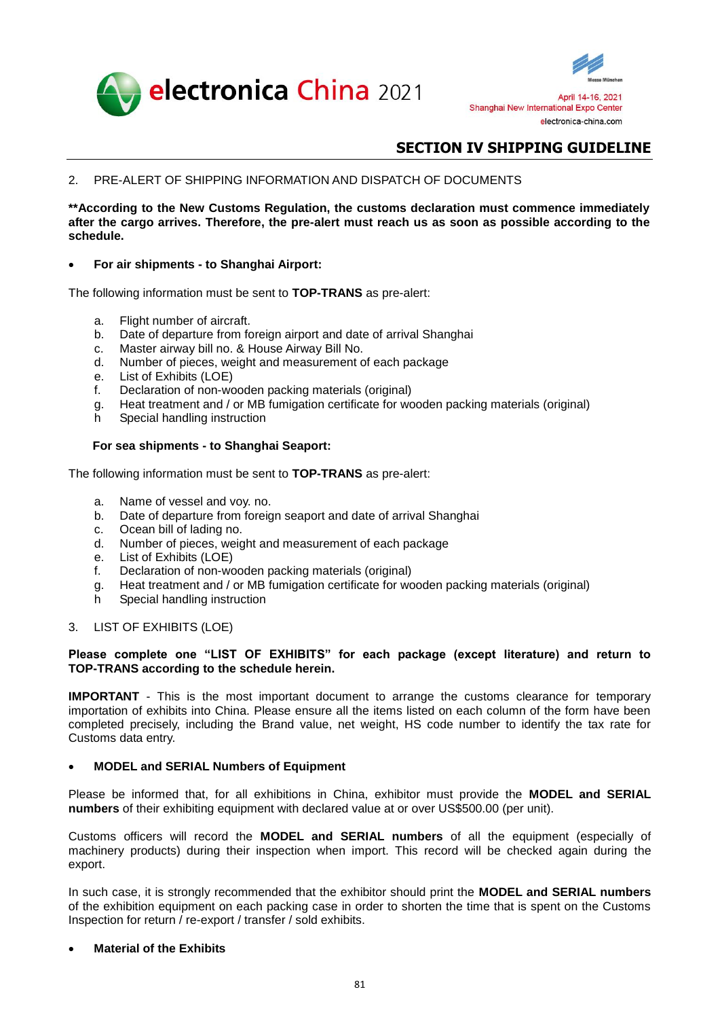



2. PRE-ALERT OF SHIPPING INFORMATION AND DISPATCH OF DOCUMENTS

**\*\*According to the New Customs Regulation, the customs declaration must commence immediately after the cargo arrives. Therefore, the pre-alert must reach us as soon as possible according to the schedule.**

**For air shipments - to Shanghai Airport:**

The following information must be sent to **TOP-TRANS** as pre-alert:

- a. Flight number of aircraft.
- b. Date of departure from foreign airport and date of arrival Shanghai
- c. Master airway bill no. & House Airway Bill No.
- d. Number of pieces, weight and measurement of each package
- e. List of Exhibits (LOE)
- f. Declaration of non-wooden packing materials (original)
- g. Heat treatment and / or MB fumigation certificate for wooden packing materials (original)
- h Special handling instruction

## **For sea shipments - to Shanghai Seaport:**

The following information must be sent to **TOP-TRANS** as pre-alert:

- a. Name of vessel and voy. no.
- b. Date of departure from foreign seaport and date of arrival Shanghai
- c. Ocean bill of lading no.
- d. Number of pieces, weight and measurement of each package
- e. List of Exhibits (LOE)
- f. Declaration of non-wooden packing materials (original)
- g. Heat treatment and / or MB fumigation certificate for wooden packing materials (original)
- h Special handling instruction
- 3. LIST OF EXHIBITS (LOE)

### **Please complete one "LIST OF EXHIBITS" for each package (except literature) and return to TOP-TRANS according to the schedule herein.**

**IMPORTANT** - This is the most important document to arrange the customs clearance for temporary importation of exhibits into China. Please ensure all the items listed on each column of the form have been completed precisely, including the Brand value, net weight, HS code number to identify the tax rate for Customs data entry.

### **MODEL and SERIAL Numbers of Equipment**

Please be informed that, for all exhibitions in China, exhibitor must provide the **MODEL and SERIAL numbers** of their exhibiting equipment with declared value at or over US\$500.00 (per unit).

Customs officers will record the **MODEL and SERIAL numbers** of all the equipment (especially of machinery products) during their inspection when import. This record will be checked again during the export.

In such case, it is strongly recommended that the exhibitor should print the **MODEL and SERIAL numbers** of the exhibition equipment on each packing case in order to shorten the time that is spent on the Customs Inspection for return / re-export / transfer / sold exhibits.

## **Material of the Exhibits**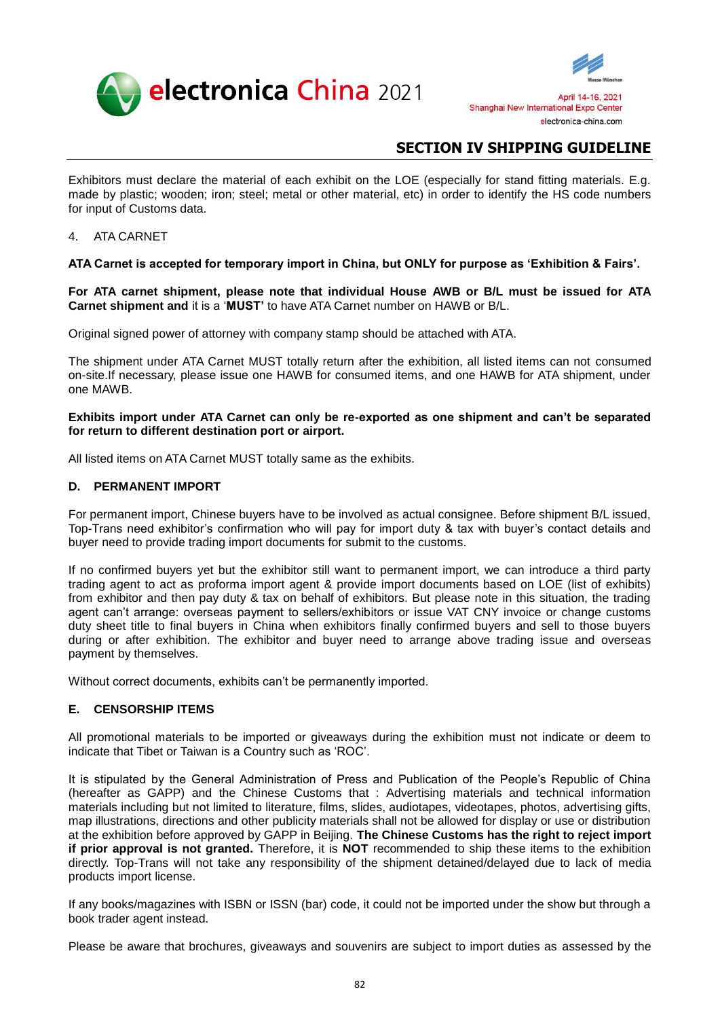



Exhibitors must declare the material of each exhibit on the LOE (especially for stand fitting materials. E.g. made by plastic; wooden; iron; steel; metal or other material, etc) in order to identify the HS code numbers for input of Customs data.

### 4. ATA CARNET

## **ATA Carnet is accepted for temporary import in China, but ONLY for purpose as 'Exhibition & Fairs'.**

**For ATA carnet shipment, please note that individual House AWB or B/L must be issued for ATA Carnet shipment and** it is a '**MUST'** to have ATA Carnet number on HAWB or B/L.

Original signed power of attorney with company stamp should be attached with ATA.

The shipment under ATA Carnet MUST totally return after the exhibition, all listed items can not consumed on-site.If necessary, please issue one HAWB for consumed items, and one HAWB for ATA shipment, under one MAWB.

### **Exhibits import under ATA Carnet can only be re-exported as one shipment and can't be separated for return to different destination port or airport.**

All listed items on ATA Carnet MUST totally same as the exhibits.

### <span id="page-5-0"></span>**D. PERMANENT IMPORT**

For permanent import, Chinese buyers have to be involved as actual consignee. Before shipment B/L issued, Top-Trans need exhibitor's confirmation who will pay for import duty & tax with buyer's contact details and buyer need to provide trading import documents for submit to the customs.

If no confirmed buyers yet but the exhibitor still want to permanent import, we can introduce a third party trading agent to act as proforma import agent & provide import documents based on LOE (list of exhibits) from exhibitor and then pay duty & tax on behalf of exhibitors. But please note in this situation, the trading agent can't arrange: overseas payment to sellers/exhibitors or issue VAT CNY invoice or change customs duty sheet title to final buyers in China when exhibitors finally confirmed buyers and sell to those buyers during or after exhibition. The exhibitor and buyer need to arrange above trading issue and overseas payment by themselves.

Without correct documents, exhibits can't be permanently imported.

# <span id="page-5-1"></span>**E. CENSORSHIP ITEMS**

All promotional materials to be imported or giveaways during the exhibition must not indicate or deem to indicate that Tibet or Taiwan is a Country such as 'ROC'.

It is stipulated by the General Administration of Press and Publication of the People's Republic of China (hereafter as GAPP) and the Chinese Customs that : Advertising materials and technical information materials including but not limited to literature, films, slides, audiotapes, videotapes, photos, advertising gifts, map illustrations, directions and other publicity materials shall not be allowed for display or use or distribution at the exhibition before approved by GAPP in Beijing. **The Chinese Customs has the right to reject import if prior approval is not granted.** Therefore, it is **NOT** recommended to ship these items to the exhibition directly. Top-Trans will not take any responsibility of the shipment detained/delayed due to lack of media products import license.

If any books/magazines with ISBN or ISSN (bar) code, it could not be imported under the show but through a book trader agent instead.

Please be aware that brochures, giveaways and souvenirs are subject to import duties as assessed by the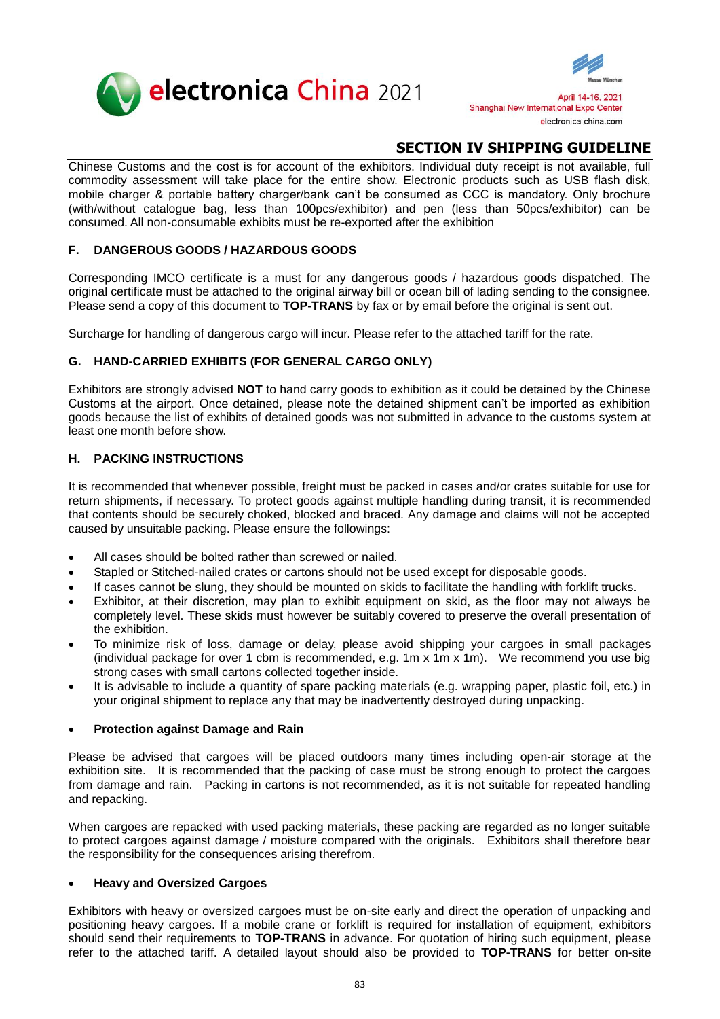



Chinese Customs and the cost is for account of the exhibitors. Individual duty receipt is not available, full commodity assessment will take place for the entire show. Electronic products such as USB flash disk, mobile charger & portable battery charger/bank can't be consumed as CCC is mandatory. Only brochure (with/without catalogue bag, less than 100pcs/exhibitor) and pen (less than 50pcs/exhibitor) can be consumed. All non-consumable exhibits must be re-exported after the exhibition

# <span id="page-6-0"></span>**F. DANGEROUS GOODS / HAZARDOUS GOODS**

Corresponding IMCO certificate is a must for any dangerous goods / hazardous goods dispatched. The original certificate must be attached to the original airway bill or ocean bill of lading sending to the consignee. Please send a copy of this document to **TOP-TRANS** by fax or by email before the original is sent out.

Surcharge for handling of dangerous cargo will incur. Please refer to the attached tariff for the rate.

# <span id="page-6-1"></span>**G. HAND-CARRIED EXHIBITS (FOR GENERAL CARGO ONLY)**

Exhibitors are strongly advised **NOT** to hand carry goods to exhibition as it could be detained by the Chinese Customs at the airport. Once detained, please note the detained shipment can't be imported as exhibition goods because the list of exhibits of detained goods was not submitted in advance to the customs system at least one month before show.

# <span id="page-6-2"></span>**H. PACKING INSTRUCTIONS**

It is recommended that whenever possible, freight must be packed in cases and/or crates suitable for use for return shipments, if necessary. To protect goods against multiple handling during transit, it is recommended that contents should be securely choked, blocked and braced. Any damage and claims will not be accepted caused by unsuitable packing. Please ensure the followings:

- All cases should be bolted rather than screwed or nailed.
- Stapled or Stitched-nailed crates or cartons should not be used except for disposable goods.
- If cases cannot be slung, they should be mounted on skids to facilitate the handling with forklift trucks.
- Exhibitor, at their discretion, may plan to exhibit equipment on skid, as the floor may not always be completely level. These skids must however be suitably covered to preserve the overall presentation of the exhibition.
- To minimize risk of loss, damage or delay, please avoid shipping your cargoes in small packages (individual package for over 1 cbm is recommended, e.g. 1m x 1m x 1m). We recommend you use big strong cases with small cartons collected together inside.
- It is advisable to include a quantity of spare packing materials (e.g. wrapping paper, plastic foil, etc.) in your original shipment to replace any that may be inadvertently destroyed during unpacking.

# **Protection against Damage and Rain**

Please be advised that cargoes will be placed outdoors many times including open-air storage at the exhibition site. It is recommended that the packing of case must be strong enough to protect the cargoes from damage and rain. Packing in cartons is not recommended, as it is not suitable for repeated handling and repacking.

When cargoes are repacked with used packing materials, these packing are regarded as no longer suitable to protect cargoes against damage / moisture compared with the originals. Exhibitors shall therefore bear the responsibility for the consequences arising therefrom.

# **Heavy and Oversized Cargoes**

Exhibitors with heavy or oversized cargoes must be on-site early and direct the operation of unpacking and positioning heavy cargoes. If a mobile crane or forklift is required for installation of equipment, exhibitors should send their requirements to **TOP-TRANS** in advance. For quotation of hiring such equipment, please refer to the attached tariff. A detailed layout should also be provided to **TOP-TRANS** for better on-site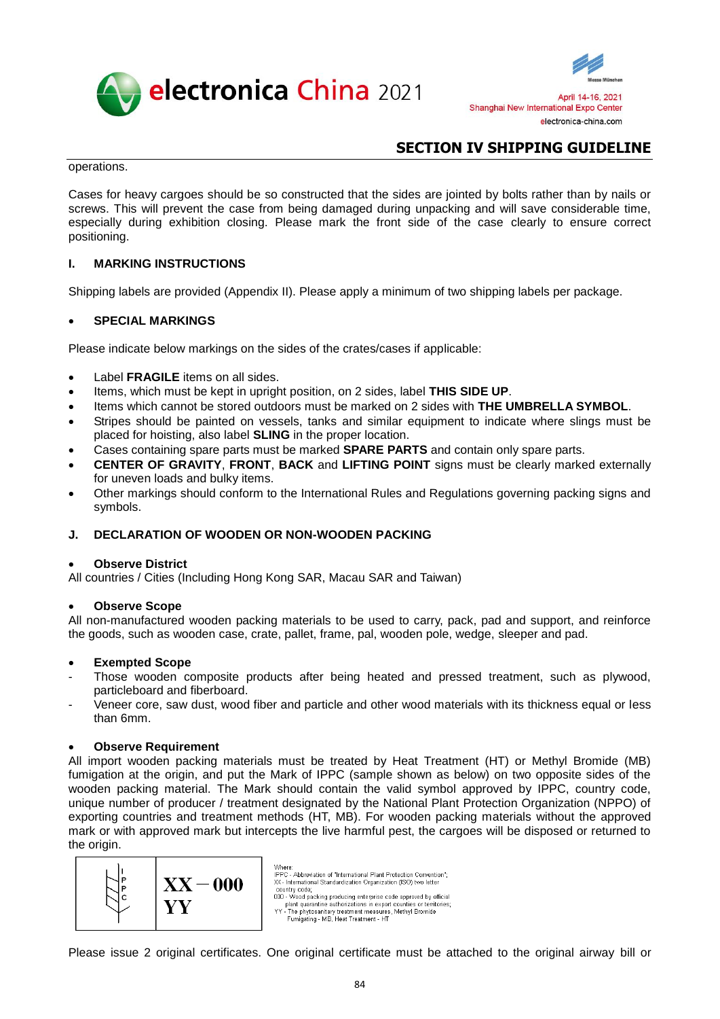



operations.

Cases for heavy cargoes should be so constructed that the sides are jointed by bolts rather than by nails or screws. This will prevent the case from being damaged during unpacking and will save considerable time, especially during exhibition closing. Please mark the front side of the case clearly to ensure correct positioning.

# <span id="page-7-0"></span>**I. MARKING INSTRUCTIONS**

Shipping labels are provided (Appendix II). Please apply a minimum of two shipping labels per package.

## **SPECIAL MARKINGS**

Please indicate below markings on the sides of the crates/cases if applicable:

- Label **FRAGILE** items on all sides.
- Items, which must be kept in upright position, on 2 sides, label **THIS SIDE UP**.
- Items which cannot be stored outdoors must be marked on 2 sides with **THE UMBRELLA SYMBOL**.
- Stripes should be painted on vessels, tanks and similar equipment to indicate where slings must be placed for hoisting, also label **SLING** in the proper location.
- Cases containing spare parts must be marked **SPARE PARTS** and contain only spare parts.
- **CENTER OF GRAVITY**, **FRONT**, **BACK** and **LIFTING POINT** signs must be clearly marked externally for uneven loads and bulky items.
- Other markings should conform to the International Rules and Regulations governing packing signs and symbols.

# <span id="page-7-1"></span>**J. DECLARATION OF WOODEN OR NON-WOODEN PACKING**

### **Observe District**

All countries / Cities (Including Hong Kong SAR, Macau SAR and Taiwan)

Where:

### **Observe Scope**

All non-manufactured wooden packing materials to be used to carry, pack, pad and support, and reinforce the goods, such as wooden case, crate, pallet, frame, pal, wooden pole, wedge, sleeper and pad.

### **Exempted Scope**

- Those wooden composite products after being heated and pressed treatment, such as plywood, particleboard and fiberboard.
- Veneer core, saw dust, wood fiber and particle and other wood materials with its thickness equal or less than 6mm.

### **Observe Requirement**

All import wooden packing materials must be treated by Heat Treatment (HT) or Methyl Bromide (MB) fumigation at the origin, and put the Mark of IPPC (sample shown as below) on two opposite sides of the wooden packing material. The Mark should contain the valid symbol approved by IPPC, country code, unique number of producer / treatment designated by the National Plant Protection Organization (NPPO) of exporting countries and treatment methods (HT, MB). For wooden packing materials without the approved mark or with approved mark but intercepts the live harmful pest, the cargoes will be disposed or returned to the origin.



IPPC - Abbreviation of "International Plant Protection Convention": XX - International Standardization Organization (ISO) two letter country code;<br>000 - Wood packing producing enterprise code approved by official boothy view process and proposed process process process and the distribution of the phytosanitary treatment measures, Methyl Bromide Funnigating - MB, Heat Treatment - HT

Please issue 2 original certificates. One original certificate must be attached to the original airway bill or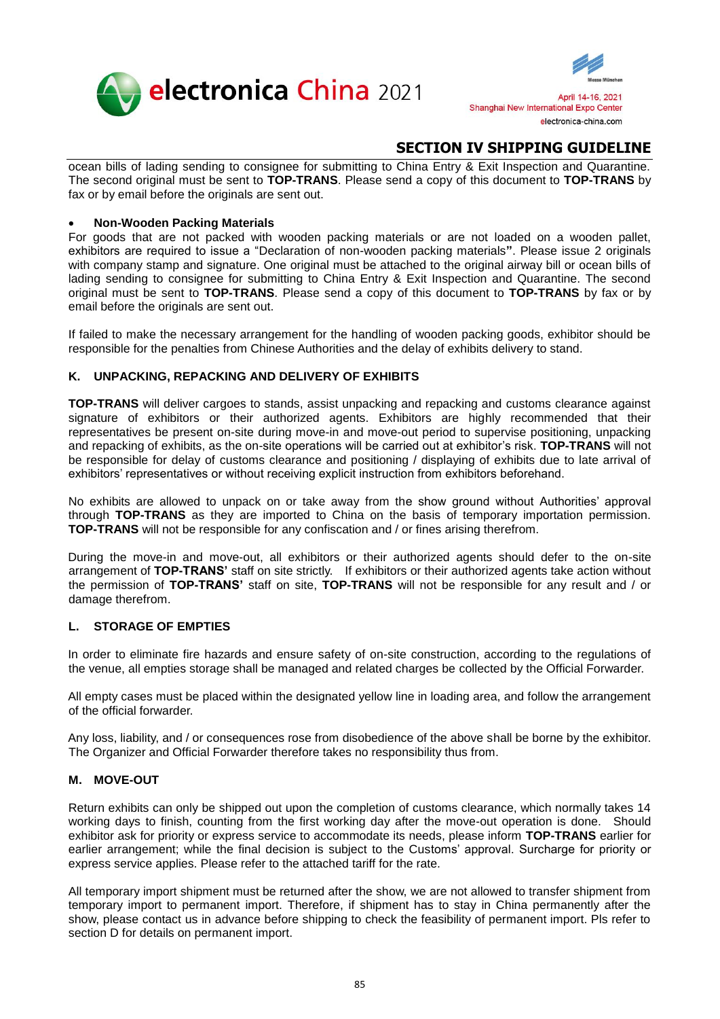



ocean bills of lading sending to consignee for submitting to China Entry & Exit Inspection and Quarantine. The second original must be sent to **TOP-TRANS**. Please send a copy of this document to **TOP-TRANS** by fax or by email before the originals are sent out.

## **Non-Wooden Packing Materials**

For goods that are not packed with wooden packing materials or are not loaded on a wooden pallet, exhibitors are required to issue a "Declaration of non-wooden packing materials**"**. Please issue 2 originals with company stamp and signature. One original must be attached to the original airway bill or ocean bills of lading sending to consignee for submitting to China Entry & Exit Inspection and Quarantine. The second original must be sent to **TOP-TRANS**. Please send a copy of this document to **TOP-TRANS** by fax or by email before the originals are sent out.

If failed to make the necessary arrangement for the handling of wooden packing goods, exhibitor should be responsible for the penalties from Chinese Authorities and the delay of exhibits delivery to stand.

## <span id="page-8-0"></span>**K. UNPACKING, REPACKING AND DELIVERY OF EXHIBITS**

**TOP-TRANS** will deliver cargoes to stands, assist unpacking and repacking and customs clearance against signature of exhibitors or their authorized agents. Exhibitors are highly recommended that their representatives be present on-site during move-in and move-out period to supervise positioning, unpacking and repacking of exhibits, as the on-site operations will be carried out at exhibitor's risk. **TOP-TRANS** will not be responsible for delay of customs clearance and positioning / displaying of exhibits due to late arrival of exhibitors' representatives or without receiving explicit instruction from exhibitors beforehand.

No exhibits are allowed to unpack on or take away from the show ground without Authorities' approval through **TOP-TRANS** as they are imported to China on the basis of temporary importation permission. **TOP-TRANS** will not be responsible for any confiscation and / or fines arising therefrom.

During the move-in and move-out, all exhibitors or their authorized agents should defer to the on-site arrangement of **TOP-TRANS'** staff on site strictly. If exhibitors or their authorized agents take action without the permission of **TOP-TRANS'** staff on site, **TOP-TRANS** will not be responsible for any result and / or damage therefrom.

### <span id="page-8-1"></span>**L. STORAGE OF EMPTIES**

In order to eliminate fire hazards and ensure safety of on-site construction, according to the regulations of the venue, all empties storage shall be managed and related charges be collected by the Official Forwarder.

All empty cases must be placed within the designated yellow line in loading area, and follow the arrangement of the official forwarder.

Any loss, liability, and / or consequences rose from disobedience of the above shall be borne by the exhibitor. The Organizer and Official Forwarder therefore takes no responsibility thus from.

# <span id="page-8-2"></span>**M. MOVE-OUT**

Return exhibits can only be shipped out upon the completion of customs clearance, which normally takes 14 working days to finish, counting from the first working day after the move-out operation is done. Should exhibitor ask for priority or express service to accommodate its needs, please inform **TOP-TRANS** earlier for earlier arrangement; while the final decision is subject to the Customs' approval. Surcharge for priority or express service applies. Please refer to the attached tariff for the rate.

All temporary import shipment must be returned after the show, we are not allowed to transfer shipment from temporary import to permanent import. Therefore, if shipment has to stay in China permanently after the show, please contact us in advance before shipping to check the feasibility of permanent import. Pls refer to section D for details on permanent import.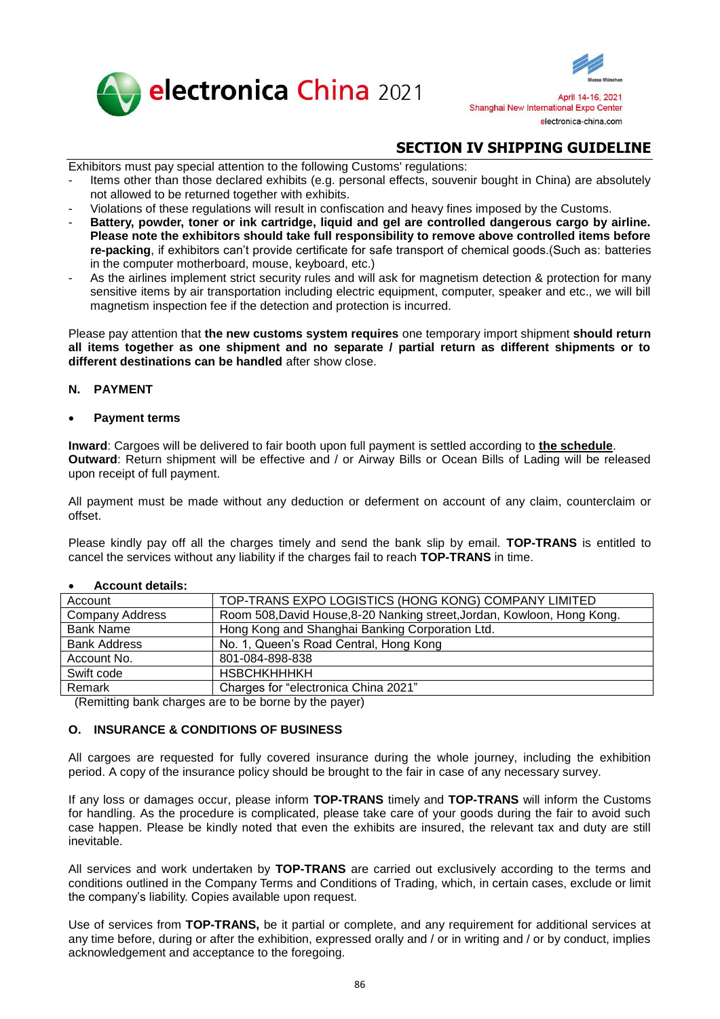



Exhibitors must pay special attention to the following Customs' regulations:

- Items other than those declared exhibits (e.g. personal effects, souvenir bought in China) are absolutely not allowed to be returned together with exhibits.
- Violations of these regulations will result in confiscation and heavy fines imposed by the Customs.
- **Battery, powder, toner or ink cartridge, liquid and gel are controlled dangerous cargo by airline. Please note the exhibitors should take full responsibility to remove above controlled items before re-packing**, if exhibitors can't provide certificate for safe transport of chemical goods.(Such as: batteries in the computer motherboard, mouse, keyboard, etc.)
- As the airlines implement strict security rules and will ask for magnetism detection & protection for many sensitive items by air transportation including electric equipment, computer, speaker and etc., we will bill magnetism inspection fee if the detection and protection is incurred.

Please pay attention that **the new customs system requires** one temporary import shipment **should return all items together as one shipment and no separate / partial return as different shipments or to different destinations can be handled** after show close.

## <span id="page-9-0"></span>**N. PAYMENT**

### **Payment terms**

**Inward**: Cargoes will be delivered to fair booth upon full payment is settled according to **the schedule**. **Outward**: Return shipment will be effective and / or Airway Bills or Ocean Bills of Lading will be released upon receipt of full payment.

All payment must be made without any deduction or deferment on account of any claim, counterclaim or offset.

Please kindly pay off all the charges timely and send the bank slip by email. **TOP-TRANS** is entitled to cancel the services without any liability if the charges fail to reach **TOP-TRANS** in time.

| Account                | TOP-TRANS EXPO LOGISTICS (HONG KONG) COMPANY LIMITED                    |
|------------------------|-------------------------------------------------------------------------|
| <b>Company Address</b> | Room 508, David House, 8-20 Nanking street, Jordan, Kowloon, Hong Kong. |
| <b>Bank Name</b>       | Hong Kong and Shanghai Banking Corporation Ltd.                         |
| <b>Bank Address</b>    | No. 1, Queen's Road Central, Hong Kong                                  |
| Account No.            | 801-084-898-838                                                         |
| Swift code             | <b>HSBCHKHHHKH</b>                                                      |
| Remark                 | Charges for "electronica China 2021"                                    |

### **Account details:**

(Remitting bank charges are to be borne by the payer)

# <span id="page-9-1"></span>**O. INSURANCE & CONDITIONS OF BUSINESS**

All cargoes are requested for fully covered insurance during the whole journey, including the exhibition period. A copy of the insurance policy should be brought to the fair in case of any necessary survey.

If any loss or damages occur, please inform **TOP-TRANS** timely and **TOP-TRANS** will inform the Customs for handling. As the procedure is complicated, please take care of your goods during the fair to avoid such case happen. Please be kindly noted that even the exhibits are insured, the relevant tax and duty are still inevitable.

All services and work undertaken by **TOP-TRANS** are carried out exclusively according to the terms and conditions outlined in the Company Terms and Conditions of Trading, which, in certain cases, exclude or limit the company's liability. Copies available upon request.

Use of services from **TOP-TRANS,** be it partial or complete, and any requirement for additional services at any time before, during or after the exhibition, expressed orally and / or in writing and / or by conduct, implies acknowledgement and acceptance to the foregoing.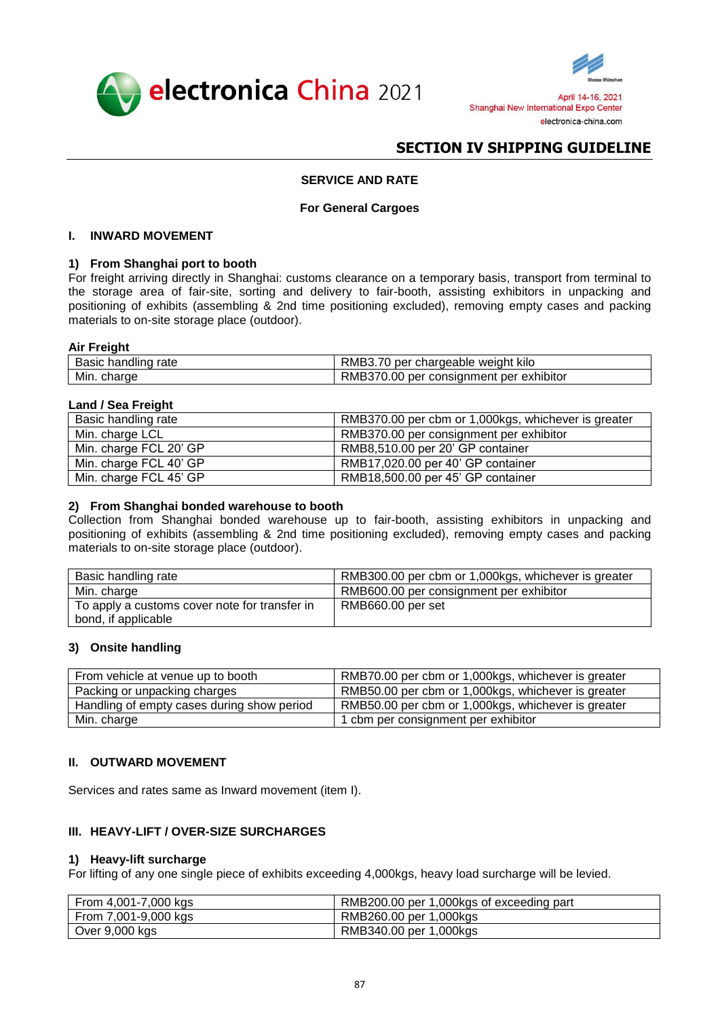



## **SERVICE AND RATE**

#### **For General Cargoes**

### <span id="page-10-0"></span>**I. INWARD MOVEMENT**

### **1) From Shanghai port to booth**

For freight arriving directly in Shanghai: customs clearance on a temporary basis, transport from terminal to the storage area of fair-site, sorting and delivery to fair-booth, assisting exhibitors in unpacking and positioning of exhibits (assembling & 2nd time positioning excluded), removing empty cases and packing materials to on-site storage place (outdoor).

#### **Air Freight**

| <br>rate<br>nandiind | RMB <sub>3</sub><br>weight kilo<br>chargeable<br>per     |
|----------------------|----------------------------------------------------------|
| Min.<br>charge       | 70.00<br>consignment<br>exhibitor<br>RMB37<br>per<br>per |

## **Land / Sea Freight**

| Basic handling rate    | RMB370.00 per cbm or 1,000kgs, whichever is greater |
|------------------------|-----------------------------------------------------|
| Min. charge LCL        | RMB370.00 per consignment per exhibitor             |
| Min. charge FCL 20' GP | RMB8,510.00 per 20' GP container                    |
| Min. charge FCL 40' GP | RMB17,020.00 per 40' GP container                   |
| Min. charge FCL 45' GP | RMB18,500.00 per 45' GP container                   |

### **2) From Shanghai bonded warehouse to booth**

Collection from Shanghai bonded warehouse up to fair-booth, assisting exhibitors in unpacking and positioning of exhibits (assembling & 2nd time positioning excluded), removing empty cases and packing materials to on-site storage place (outdoor).

| Basic handling rate                                                  | RMB300.00 per cbm or 1,000kgs, whichever is greater |
|----------------------------------------------------------------------|-----------------------------------------------------|
| Min. charge                                                          | RMB600.00 per consignment per exhibitor             |
| To apply a customs cover note for transfer in<br>bond, if applicable | RMB660.00 per set                                   |

### **3) Onsite handling**

| From vehicle at venue up to booth          | RMB70.00 per cbm or 1,000kgs, whichever is greater |
|--------------------------------------------|----------------------------------------------------|
| Packing or unpacking charges               | RMB50.00 per cbm or 1,000kgs, whichever is greater |
| Handling of empty cases during show period | RMB50.00 per cbm or 1,000kgs, whichever is greater |
| Min. charge                                | 1 cbm per consignment per exhibitor                |

### **II. OUTWARD MOVEMENT**

Services and rates same as Inward movement (item I).

## **III. HEAVY-LIFT / OVER-SIZE SURCHARGES**

#### **1) Heavy-lift surcharge**

For lifting of any one single piece of exhibits exceeding 4,000kgs, heavy load surcharge will be levied.

| From 4,001-7,000 kgs | RMB200.00 per 1,000kgs of exceeding part |
|----------------------|------------------------------------------|
| From 7,001-9,000 kgs | RMB260.00 per 1,000kgs                   |
| Over 9,000 kgs       | RMB340.00 per 1,000kgs                   |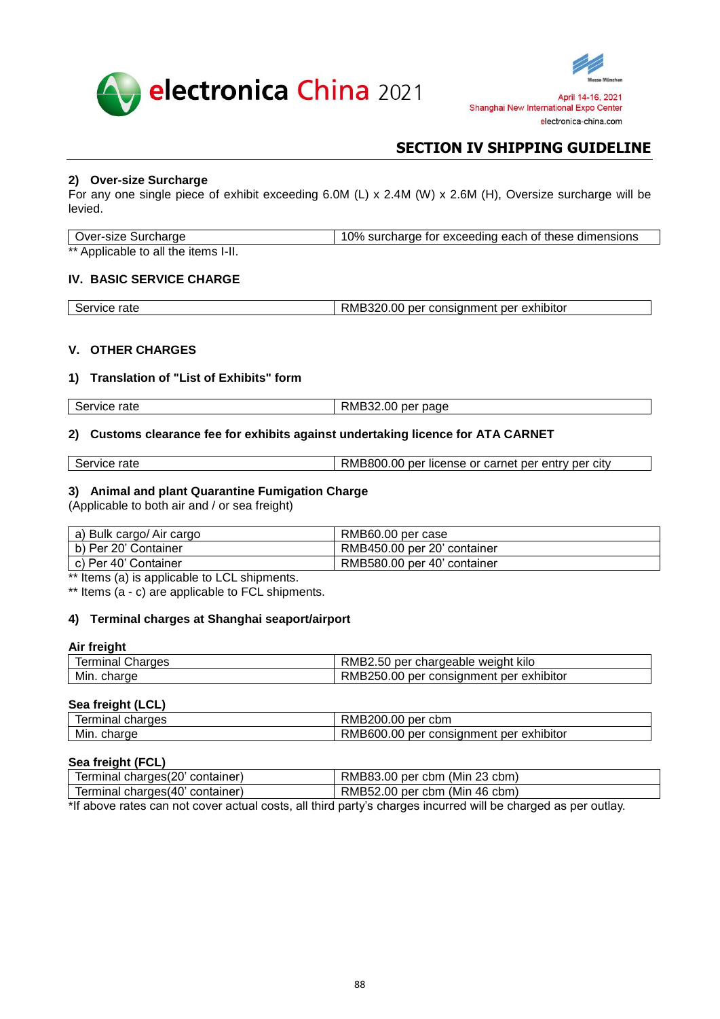



## **2) Over-size Surcharge**

For any one single piece of exhibit exceeding 6.0M (L) x 2.4M (W) x 2.6M (H), Oversize surcharge will be levied.

| Over-size Surcharge                  | 10% surcharge for exceeding each of these dimensions |
|--------------------------------------|------------------------------------------------------|
| ** Applicable to all the items I-II. |                                                      |

### **IV. BASIC SERVICE CHARGE**

| Service rate<br>pervice | RMB320.00 per consignment per exhibitor |
|-------------------------|-----------------------------------------|
|                         |                                         |

### **V. OTHER CHARGES**

### **1) Translation of "List of Exhibits" form**

| Service rate | RMB32.00<br>per page |
|--------------|----------------------|
|              |                      |

## **2) Customs clearance fee for exhibits against undertaking licence for ATA CARNET**

| Service<br>rate | RMB800.<br>.00<br>r license or carnet per entry per city<br>per |
|-----------------|-----------------------------------------------------------------|
|                 |                                                                 |

### **3) Animal and plant Quarantine Fumigation Charge**

(Applicable to both air and / or sea freight)

| a) Bulk cargo/ Air cargo | RMB60.00 per case           |
|--------------------------|-----------------------------|
| b) Per 20' Container     | RMB450.00 per 20' container |
| c) Per 40' Container     | RMB580.00 per 40' container |

\*\* Items (a) is applicable to LCL shipments.

\*\* Items (a - c) are applicable to FCL shipments.

## **4) Terminal charges at Shanghai seaport/airport**

### **Air freight**

| Charges        | RMB2.50 per chargeable                  |
|----------------|-----------------------------------------|
| lerminal       | weiaht kilo                             |
| Min.<br>charge | RMB250.00 per consignment per exhibitor |

#### **Sea freight (LCL)**

| charges<br>lerminal | $\sim$<br>cbm<br>per<br>KMB200.00                                                     |
|---------------------|---------------------------------------------------------------------------------------|
| Min.<br>charge      | $\sim$ $\sim$<br>exhibitor<br>* consianment<br>per<br>per<br><b>KIVIBOUT</b><br>10.OO |

# **Sea freight (FCL)**

| Terminal charges (20' container) | RMB83.00 per cbm (Min 23 cbm)                                                                                                                                                                                                     |
|----------------------------------|-----------------------------------------------------------------------------------------------------------------------------------------------------------------------------------------------------------------------------------|
| Terminal charges (40' container) | RMB52.00 per cbm (Min 46 cbm)                                                                                                                                                                                                     |
|                                  | $\frac{1}{2}$ the unit of the contract property of the set of the characteristic property in the character of the set of the set of the set of the set of the set of the set of the set of the set of the set of the set of the s |

\*If above rates can not cover actual costs, all third party's charges incurred will be charged as per outlay.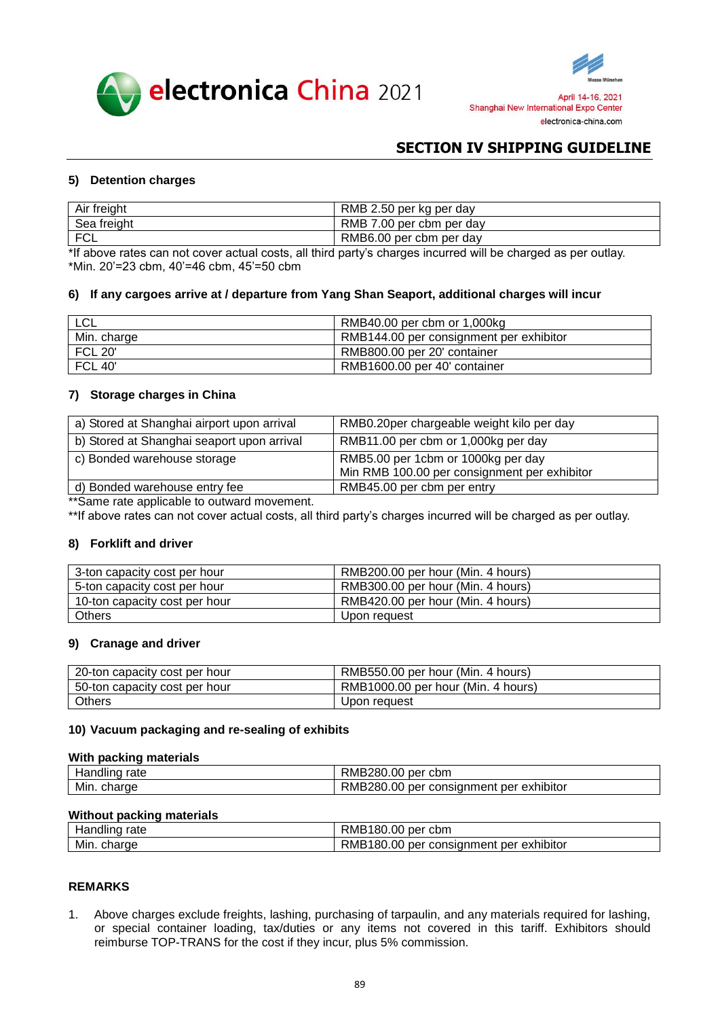



## **5) Detention charges**

| Air freight      | RMB 2.50 per kg per day                                                                                                      |
|------------------|------------------------------------------------------------------------------------------------------------------------------|
| Sea freight      | RMB 7.00 per cbm per day                                                                                                     |
| <sup>I</sup> FCL | RMB6.00 per cbm per day                                                                                                      |
|                  | بروائيره مومرمو المومومام وما الثبر اموسيرومان ومومومام وإبراسوم استطلالا والملموم امرباوه ومربوم فمروم وملوسون وبرموام كالا |

\*If above rates can not cover actual costs, all third party's charges incurred will be charged as per outlay. \*Min. 20'=23 cbm, 40'=46 cbm, 45'=50 cbm

#### **6) If any cargoes arrive at / departure from Yang Shan Seaport, additional charges will incur**

| $\cap$<br>∟∪∟  | RMB40.00 per cbm or 1,000kg             |
|----------------|-----------------------------------------|
| Min. charge    | RMB144.00 per consignment per exhibitor |
| <b>FCL 20'</b> | RMB800.00 per 20' container             |
| <b>FCL 40'</b> | RMB1600.00 per 40' container            |

## **7) Storage charges in China**

| a) Stored at Shanghai airport upon arrival | RMB0.20per chargeable weight kilo per day                                          |
|--------------------------------------------|------------------------------------------------------------------------------------|
| b) Stored at Shanghai seaport upon arrival | RMB11.00 per cbm or 1,000kg per day                                                |
| c) Bonded warehouse storage                | RMB5.00 per 1cbm or 1000kg per day<br>Min RMB 100.00 per consignment per exhibitor |
| d) Bonded warehouse entry fee              | RMB45.00 per cbm per entry                                                         |

\*\*Same rate applicable to outward movement.

\*\*If above rates can not cover actual costs, all third party's charges incurred will be charged as per outlay.

### **8) Forklift and driver**

| 3-ton capacity cost per hour  | RMB200.00 per hour (Min. 4 hours) |
|-------------------------------|-----------------------------------|
| 5-ton capacity cost per hour  | RMB300.00 per hour (Min. 4 hours) |
| 10-ton capacity cost per hour | RMB420.00 per hour (Min. 4 hours) |
| Others                        | Upon request                      |

### **9) Cranage and driver**

| 20-ton capacity cost per hour | RMB550.00 per hour (Min. 4 hours)  |
|-------------------------------|------------------------------------|
| 50-ton capacity cost per hour | RMB1000.00 per hour (Min. 4 hours) |
| Others                        | Upon request                       |

#### **10) Vacuum packaging and re-sealing of exhibits**

#### **With packing materials**

| <br>.<br>ianuimu<br>rale | IB280.00<br>- -<br>∴kM⊑<br>per<br>cbm                          |
|--------------------------|----------------------------------------------------------------|
| Min.<br>charge           | .<br>IB280.00<br>RML<br>exhibitor<br>per<br>consignment<br>per |

### **Without packing materials**

|                | RMB                                               |
|----------------|---------------------------------------------------|
| rate           | 180.00 per                                        |
| Handling       | cbm                                               |
| Min.<br>charge | RMB180.00 per<br>∵exhibitor<br>consignment<br>per |

#### **REMARKS**

1. Above charges exclude freights, lashing, purchasing of tarpaulin, and any materials required for lashing, or special container loading, tax/duties or any items not covered in this tariff. Exhibitors should reimburse TOP-TRANS for the cost if they incur, plus 5% commission.